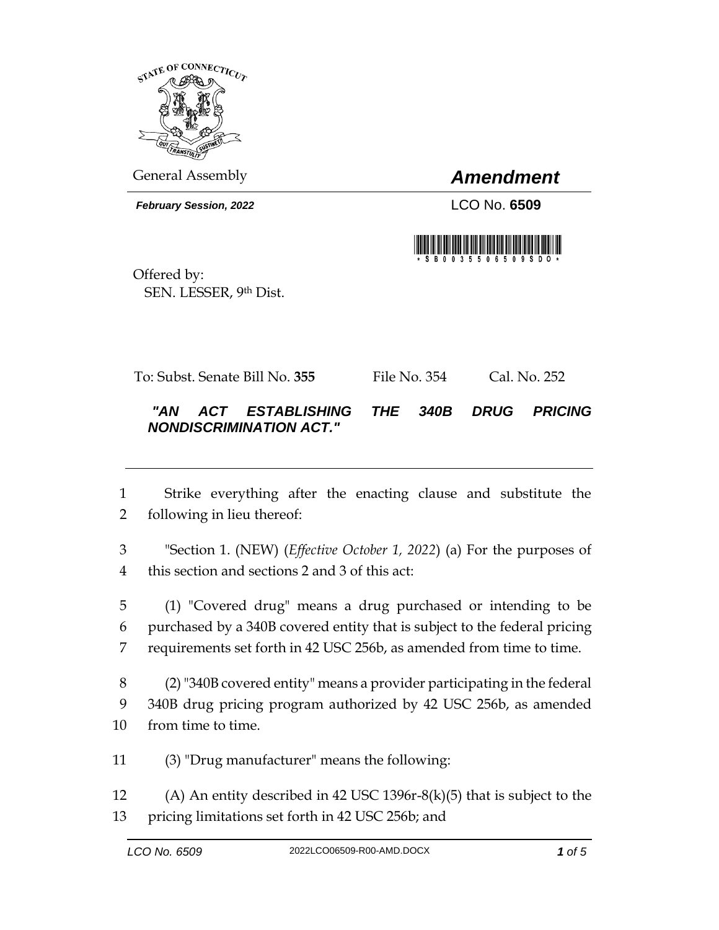

General Assembly *Amendment*

*February Session, 2022* LCO No. **6509**



Offered by: SEN. LESSER, 9th Dist.

To: Subst. Senate Bill No. **355** File No. 354 Cal. No. 252

## *"AN ACT ESTABLISHING THE 340B DRUG PRICING NONDISCRIMINATION ACT."*

 Strike everything after the enacting clause and substitute the following in lieu thereof:

 "Section 1. (NEW) (*Effective October 1, 2022*) (a) For the purposes of this section and sections 2 and 3 of this act:

 (1) "Covered drug" means a drug purchased or intending to be purchased by a 340B covered entity that is subject to the federal pricing requirements set forth in 42 USC 256b, as amended from time to time.

 (2) "340B covered entity" means a provider participating in the federal 340B drug pricing program authorized by 42 USC 256b, as amended from time to time.

(3) "Drug manufacturer" means the following:

 (A) An entity described in 42 USC 1396r-8(k)(5) that is subject to the pricing limitations set forth in 42 USC 256b; and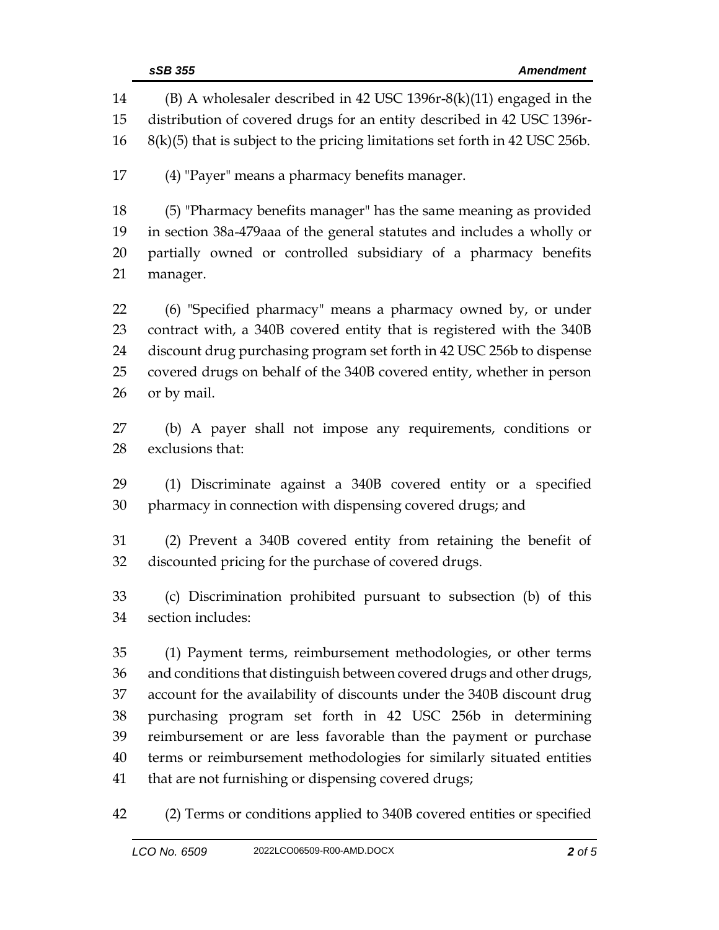|          | sSB 355<br><b>Amendment</b>                                                                                                                    |
|----------|------------------------------------------------------------------------------------------------------------------------------------------------|
| 14<br>15 | $(B)$ A wholesaler described in 42 USC 1396r-8(k)(11) engaged in the<br>distribution of covered drugs for an entity described in 42 USC 1396r- |
| 16       | $8(k)(5)$ that is subject to the pricing limitations set forth in 42 USC 256b.                                                                 |
| 17       | (4) "Payer" means a pharmacy benefits manager.                                                                                                 |
| 18       | (5) "Pharmacy benefits manager" has the same meaning as provided                                                                               |
| 19       | in section 38a-479aaa of the general statutes and includes a wholly or                                                                         |
| 20       | partially owned or controlled subsidiary of a pharmacy benefits                                                                                |
| 21       | manager.                                                                                                                                       |
| 22       | (6) "Specified pharmacy" means a pharmacy owned by, or under                                                                                   |
| 23       | contract with, a 340B covered entity that is registered with the 340B                                                                          |
| 24       | discount drug purchasing program set forth in 42 USC 256b to dispense                                                                          |
| 25       | covered drugs on behalf of the 340B covered entity, whether in person                                                                          |
| 26       | or by mail.                                                                                                                                    |
| 27       | (b) A payer shall not impose any requirements, conditions or                                                                                   |
| 28       | exclusions that:                                                                                                                               |
| 29       | (1) Discriminate against a 340B covered entity or a specified                                                                                  |
| 30       | pharmacy in connection with dispensing covered drugs; and                                                                                      |
| 31       | (2) Prevent a 340B covered entity from retaining the benefit of                                                                                |
| 32       | discounted pricing for the purchase of covered drugs.                                                                                          |
| 33       | (c) Discrimination prohibited pursuant to subsection (b) of this                                                                               |
| 34       | section includes:                                                                                                                              |
| 35       | (1) Payment terms, reimbursement methodologies, or other terms                                                                                 |
| 36       | and conditions that distinguish between covered drugs and other drugs,                                                                         |
| 37       | account for the availability of discounts under the 340B discount drug                                                                         |
| 38       | purchasing program set forth in 42 USC 256b in determining                                                                                     |
| 39       | reimbursement or are less favorable than the payment or purchase                                                                               |
| 40       | terms or reimbursement methodologies for similarly situated entities                                                                           |
| 41       | that are not furnishing or dispensing covered drugs;                                                                                           |
| 42       | (2) Terms or conditions applied to 340B covered entities or specified                                                                          |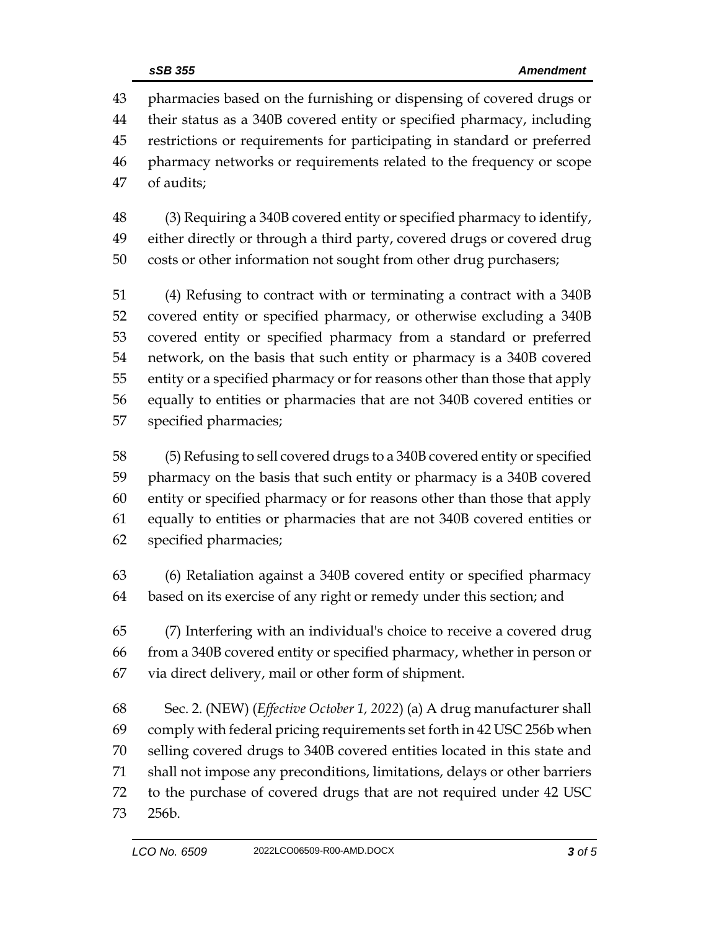pharmacies based on the furnishing or dispensing of covered drugs or their status as a 340B covered entity or specified pharmacy, including restrictions or requirements for participating in standard or preferred pharmacy networks or requirements related to the frequency or scope of audits;

 (3) Requiring a 340B covered entity or specified pharmacy to identify, either directly or through a third party, covered drugs or covered drug costs or other information not sought from other drug purchasers;

 (4) Refusing to contract with or terminating a contract with a 340B covered entity or specified pharmacy, or otherwise excluding a 340B covered entity or specified pharmacy from a standard or preferred network, on the basis that such entity or pharmacy is a 340B covered entity or a specified pharmacy or for reasons other than those that apply equally to entities or pharmacies that are not 340B covered entities or specified pharmacies;

 (5) Refusing to sell covered drugs to a 340B covered entity or specified pharmacy on the basis that such entity or pharmacy is a 340B covered entity or specified pharmacy or for reasons other than those that apply equally to entities or pharmacies that are not 340B covered entities or specified pharmacies;

 (6) Retaliation against a 340B covered entity or specified pharmacy based on its exercise of any right or remedy under this section; and

 (7) Interfering with an individual's choice to receive a covered drug from a 340B covered entity or specified pharmacy, whether in person or via direct delivery, mail or other form of shipment.

 Sec. 2. (NEW) (*Effective October 1, 2022*) (a) A drug manufacturer shall comply with federal pricing requirements set forth in 42 USC 256b when selling covered drugs to 340B covered entities located in this state and shall not impose any preconditions, limitations, delays or other barriers to the purchase of covered drugs that are not required under 42 USC 256b.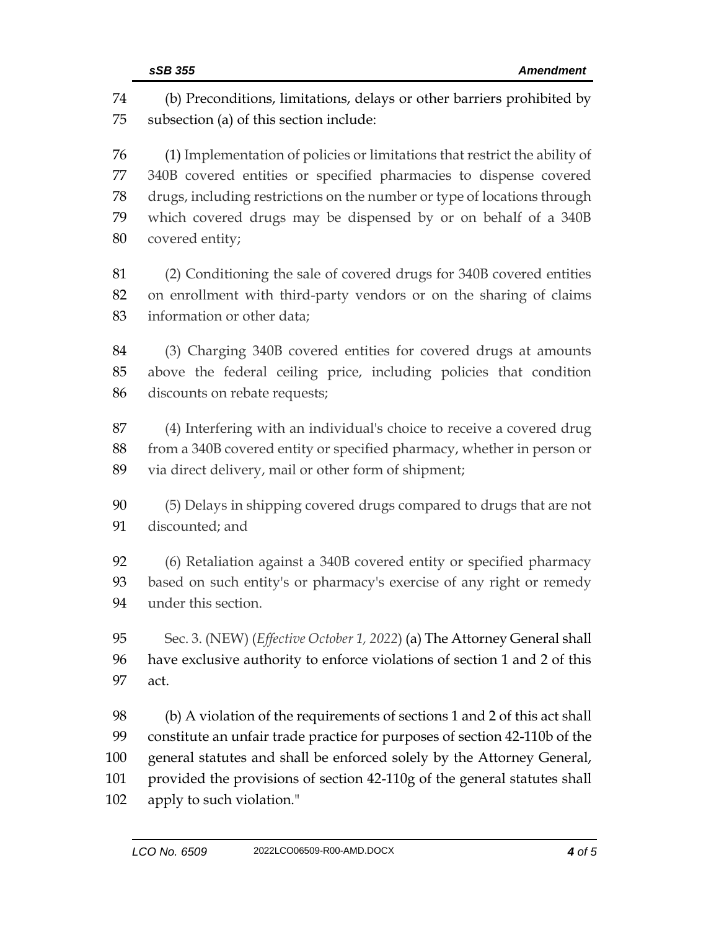(b) Preconditions, limitations, delays or other barriers prohibited by subsection (a) of this section include: (1) Implementation of policies or limitations that restrict the ability of 340B covered entities or specified pharmacies to dispense covered drugs, including restrictions on the number or type of locations through which covered drugs may be dispensed by or on behalf of a 340B covered entity; (2) Conditioning the sale of covered drugs for 340B covered entities on enrollment with third-party vendors or on the sharing of claims information or other data; (3) Charging 340B covered entities for covered drugs at amounts above the federal ceiling price, including policies that condition discounts on rebate requests; (4) Interfering with an individual's choice to receive a covered drug from a 340B covered entity or specified pharmacy, whether in person or via direct delivery, mail or other form of shipment; (5) Delays in shipping covered drugs compared to drugs that are not discounted; and (6) Retaliation against a 340B covered entity or specified pharmacy based on such entity's or pharmacy's exercise of any right or remedy under this section. Sec. 3. (NEW) (*Effective October 1, 2022*) (a) The Attorney General shall have exclusive authority to enforce violations of section 1 and 2 of this act. (b) A violation of the requirements of sections 1 and 2 of this act shall constitute an unfair trade practice for purposes of section 42-110b of the general statutes and shall be enforced solely by the Attorney General, provided the provisions of section 42-110g of the general statutes shall apply to such violation."